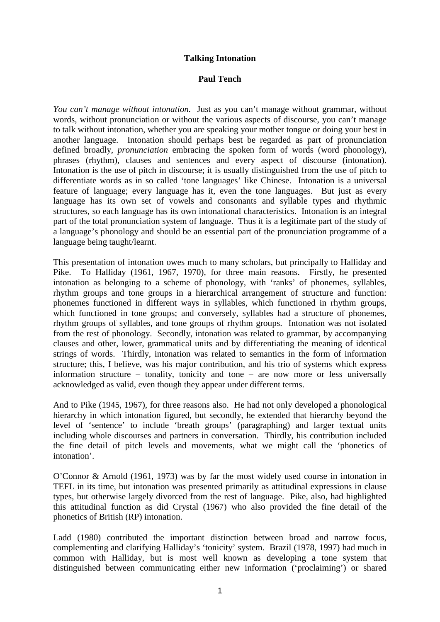### **Talking Intonation**

### **Paul Tench**

*You can't manage without intonation.* Just as you can't manage without grammar, without words, without pronunciation or without the various aspects of discourse, you can't manage to talk without intonation, whether you are speaking your mother tongue or doing your best in another language. Intonation should perhaps best be regarded as part of pronunciation defined broadly, *pronunciation* embracing the spoken form of words (word phonology), phrases (rhythm), clauses and sentences and every aspect of discourse (intonation). Intonation is the use of pitch in discourse; it is usually distinguished from the use of pitch to differentiate words as in so called 'tone languages' like Chinese. Intonation is a universal feature of language; every language has it, even the tone languages. But just as every language has its own set of vowels and consonants and syllable types and rhythmic structures, so each language has its own intonational characteristics. Intonation is an integral part of the total pronunciation system of language. Thus it is a legitimate part of the study of a language's phonology and should be an essential part of the pronunciation programme of a language being taught/learnt.

This presentation of intonation owes much to many scholars, but principally to Halliday and Pike. To Halliday (1961, 1967, 1970), for three main reasons. Firstly, he presented intonation as belonging to a scheme of phonology, with 'ranks' of phonemes, syllables, rhythm groups and tone groups in a hierarchical arrangement of structure and function: phonemes functioned in different ways in syllables, which functioned in rhythm groups, which functioned in tone groups; and conversely, syllables had a structure of phonemes, rhythm groups of syllables, and tone groups of rhythm groups. Intonation was not isolated from the rest of phonology. Secondly, intonation was related to grammar, by accompanying clauses and other, lower, grammatical units and by differentiating the meaning of identical strings of words. Thirdly, intonation was related to semantics in the form of information structure; this, I believe, was his major contribution, and his trio of systems which express information structure – tonality, tonicity and tone – are now more or less universally acknowledged as valid, even though they appear under different terms.

And to Pike (1945, 1967), for three reasons also. He had not only developed a phonological hierarchy in which intonation figured, but secondly, he extended that hierarchy beyond the level of 'sentence' to include 'breath groups' (paragraphing) and larger textual units including whole discourses and partners in conversation. Thirdly, his contribution included the fine detail of pitch levels and movements, what we might call the 'phonetics of intonation'.

O'Connor & Arnold (1961, 1973) was by far the most widely used course in intonation in TEFL in its time, but intonation was presented primarily as attitudinal expressions in clause types, but otherwise largely divorced from the rest of language. Pike, also, had highlighted this attitudinal function as did Crystal (1967) who also provided the fine detail of the phonetics of British (RP) intonation.

Ladd (1980) contributed the important distinction between broad and narrow focus, complementing and clarifying Halliday's 'tonicity' system. Brazil (1978, 1997) had much in common with Halliday, but is most well known as developing a tone system that distinguished between communicating either new information ('proclaiming') or shared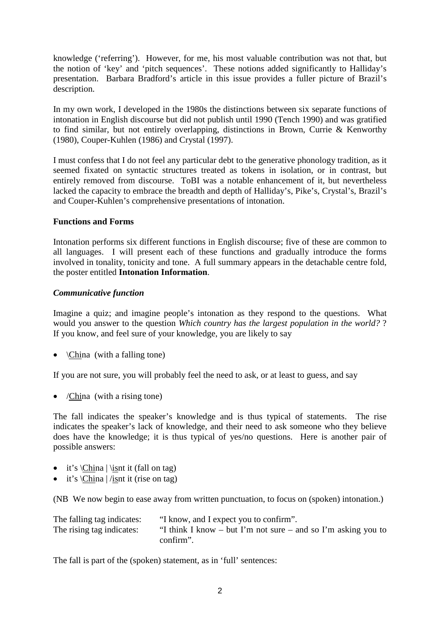knowledge ('referring'). However, for me, his most valuable contribution was not that, but the notion of 'key' and 'pitch sequences'. These notions added significantly to Halliday's presentation. Barbara Bradford's article in this issue provides a fuller picture of Brazil's description.

In my own work, I developed in the 1980s the distinctions between six separate functions of intonation in English discourse but did not publish until 1990 (Tench 1990) and was gratified to find similar, but not entirely overlapping, distinctions in Brown, Currie & Kenworthy (1980), Couper-Kuhlen (1986) and Crystal (1997).

I must confess that I do not feel any particular debt to the generative phonology tradition, as it seemed fixated on syntactic structures treated as tokens in isolation, or in contrast, but entirely removed from discourse. ToBI was a notable enhancement of it, but nevertheless lacked the capacity to embrace the breadth and depth of Halliday's, Pike's, Crystal's, Brazil's and Couper-Kuhlen's comprehensive presentations of intonation.

### **Functions and Forms**

Intonation performs six different functions in English discourse; five of these are common to all languages. I will present each of these functions and gradually introduce the forms involved in tonality, tonicity and tone. A full summary appears in the detachable centre fold, the poster entitled **Intonation Information**.

### *Communicative function*

Imagine a quiz; and imagine people's intonation as they respond to the questions. What would you answer to the question *Which country has the largest population in the world?* ? If you know, and feel sure of your knowledge, you are likely to say

•  $\langle$ China (with a falling tone)

If you are not sure, you will probably feel the need to ask, or at least to guess, and say

•  $/China$  (with a rising tone)

The fall indicates the speaker's knowledge and is thus typical of statements. The rise indicates the speaker's lack of knowledge, and their need to ask someone who they believe does have the knowledge; it is thus typical of yes/no questions. Here is another pair of possible answers:

- it's  $China \isnt$  (fall on tag)
- it's  $China /isnt$  it (rise on tag)

(NB We now begin to ease away from written punctuation, to focus on (spoken) intonation.)

| The falling tag indicates: | "I know, and I expect you to confirm".                        |
|----------------------------|---------------------------------------------------------------|
| The rising tag indicates:  | "I think I know – but I'm not sure – and so I'm asking you to |
|                            | confirm".                                                     |

The fall is part of the (spoken) statement, as in 'full' sentences: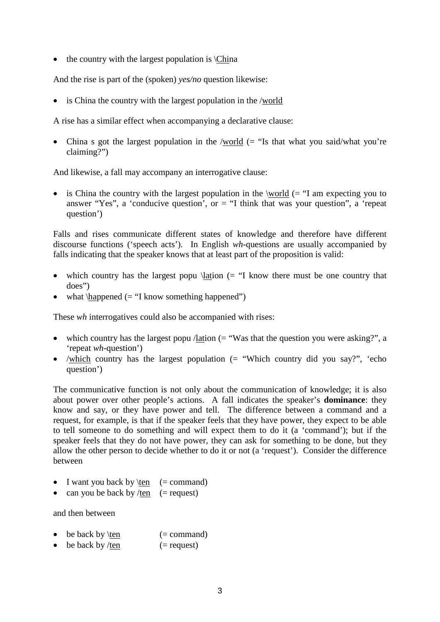• the country with the largest population is  $\text{China}$ 

And the rise is part of the (spoken) *yes/no* question likewise:

• is China the country with the largest population in the /world

A rise has a similar effect when accompanying a declarative clause:

• China s got the largest population in the /world  $(= "Is that what you said/what you're$ claiming?")

And likewise, a fall may accompany an interrogative clause:

• is China the country with the largest population in the \world  $(= "I am expecting you to$ answer "Yes", a 'conducive question', or  $=$  "I think that was your question", a 'repeat question')

Falls and rises communicate different states of knowledge and therefore have different discourse functions ('speech acts'). In English *wh*-questions are usually accompanied by falls indicating that the speaker knows that at least part of the proposition is valid:

- which country has the largest popu  $\latation$  (= "I know there must be one country that does")
- what  $\hbox{happened} (= "I know something happened")$

These *wh* interrogatives could also be accompanied with rises:

- which country has the largest popu /lation  $($ = "Was that the question you were asking?", a 'repeat *wh*-question')
- /which country has the largest population  $(=$  "Which country did you say?", 'echo question')

The communicative function is not only about the communication of knowledge; it is also about power over other people's actions. A fall indicates the speaker's **dominance**: they know and say, or they have power and tell. The difference between a command and a request, for example, is that if the speaker feels that they have power, they expect to be able to tell someone to do something and will expect them to do it (a 'command'); but if the speaker feels that they do not have power, they can ask for something to be done, but they allow the other person to decide whether to do it or not (a 'request'). Consider the difference between

- I want you back by  $ten$  (= command)
- can you be back by /ten  $(=$  request)

and then between

- be back by  $ten$  (= command)
- be back by /ten  $(=$  request)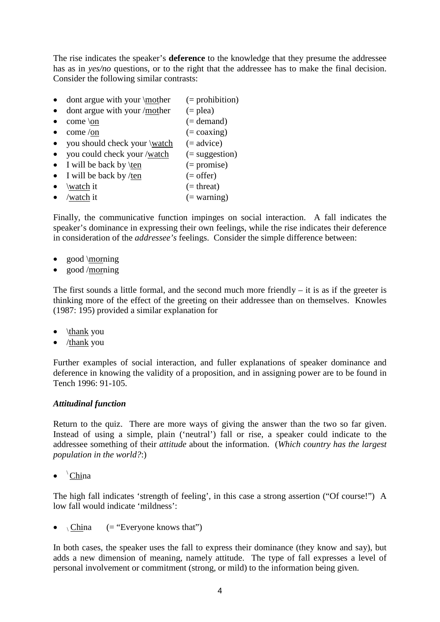The rise indicates the speaker's **deference** to the knowledge that they presume the addressee has as in *yes/no* questions, or to the right that the addressee has to make the final decision. Consider the following similar contrasts:

- dont argue with your  $\text{inter}$  (= prohibition)
- dont argue with your /mother  $(=$  plea)
- come  $\setminus$  come  $\setminus$  come  $\setminus$  come  $\setminus$  come  $\setminus$  come  $\setminus$  come  $\setminus$  come  $\setminus$  come  $\setminus$  come  $\setminus$  come  $\setminus$  come  $\setminus$  come  $\setminus$  come  $\setminus$  come  $\setminus$  come  $\setminus$  come  $\setminus$  come  $\setminus$  come  $\setminus$  come  $\setminus$
- come /on  $( = coaxing)$
- you should check your  $\wedge$  (= advice)
- you could check your /watch  $($  = suggestion)
- I will be back by  $ten$  (= promise)
- I will be back by /ten  $(=$  offer)
- $\wedge$  (= threat)
- /watch it  $( = \text{warning})$

Finally, the communicative function impinges on social interaction. A fall indicates the speaker's dominance in expressing their own feelings, while the rise indicates their deference in consideration of the *addressee's* feelings. Consider the simple difference between:

- good \morning
- good /morning

The first sounds a little formal, and the second much more friendly  $-$  it is as if the greeter is thinking more of the effect of the greeting on their addressee than on themselves. Knowles (1987: 195) provided a similar explanation for

- \thank you
- $\bullet$  /thank you

Further examples of social interaction, and fuller explanations of speaker dominance and deference in knowing the validity of a proposition, and in assigning power are to be found in Tench 1996: 91-105.

#### *Attitudinal function*

Return to the quiz. There are more ways of giving the answer than the two so far given. Instead of using a simple, plain ('neutral') fall or rise, a speaker could indicate to the addressee something of their *attitude* about the information. (*Which country has the largest population in the world?*:)

 $\bullet$   $\Delta$  China

The high fall indicates 'strength of feeling', in this case a strong assertion ("Of course!") A low fall would indicate 'mildness':

•  $\overline{C}$  China (= "Everyone knows that")

In both cases, the speaker uses the fall to express their dominance (they know and say), but adds a new dimension of meaning, namely attitude. The type of fall expresses a level of personal involvement or commitment (strong, or mild) to the information being given.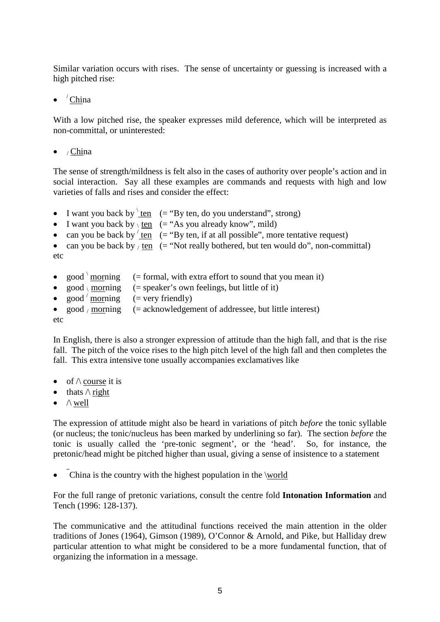Similar variation occurs with rises. The sense of uncertainty or guessing is increased with a high pitched rise:

 $\bullet$   $^\prime$  China

With a low pitched rise, the speaker expresses mild deference, which will be interpreted as non-committal, or uninterested:

 $\bullet$  / China

The sense of strength/mildness is felt also in the cases of authority over people's action and in social interaction. Say all these examples are commands and requests with high and low varieties of falls and rises and consider the effect:

- I want you back by  $\tan \left( = \text{``By ten, do you understand''}, \text{strong} \right)$
- I want you back by  $\iota$  ten (= "As you already know", mild)
- can you be back by  $'ten (= "By ten, if at all possible", more tentative request)$ </u>

```
• can you be back by / ten (= "Not really bothered, but ten would do", non-committal)
etc
```
- good \morning  $($  = formal, with extra effort to sound that you mean it) • good morning (= speaker's own feelings, but little of it) •  $\cos^{-1}$  morning  $($  = very friendly)
- good / morning  $(=acknowledgement of addresses, but little interest)$ etc

In English, there is also a stronger expression of attitude than the high fall, and that is the rise fall. The pitch of the voice rises to the high pitch level of the high fall and then completes the fall. This extra intensive tone usually accompanies exclamatives like

- of  $\wedge$  course it is
- thats  $\wedge$  right
- $\bullet$   $\land$  well

The expression of attitude might also be heard in variations of pitch *before* the tonic syllable (or nucleus; the tonic/nucleus has been marked by underlining so far). The section *before* the tonic is usually called the 'pre-tonic segment', or the 'head'. So, for instance, the pretonic/head might be pitched higher than usual, giving a sense of insistence to a statement

• China is the country with the highest population in the \world

For the full range of pretonic variations, consult the centre fold **Intonation Information** and Tench (1996: 128-137).

The communicative and the attitudinal functions received the main attention in the older traditions of Jones (1964), Gimson (1989), O'Connor & Arnold, and Pike, but Halliday drew particular attention to what might be considered to be a more fundamental function, that of organizing the information in a message.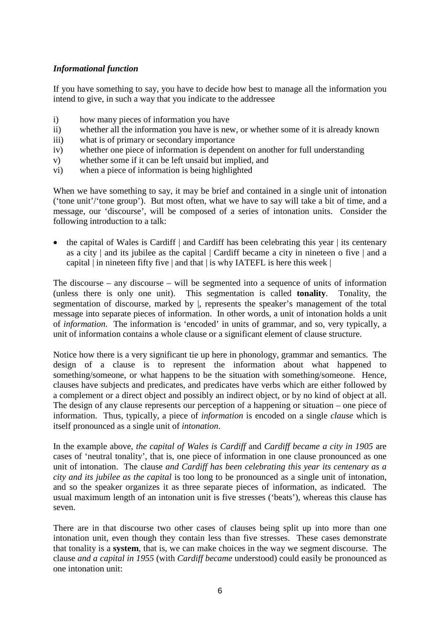# *Informational function*

If you have something to say, you have to decide how best to manage all the information you intend to give, in such a way that you indicate to the addressee

- i) how many pieces of information you have
- ii) whether all the information you have is new, or whether some of it is already known
- iii) what is of primary or secondary importance
- iv) whether one piece of information is dependent on another for full understanding
- v) whether some if it can be left unsaid but implied, and
- vi) when a piece of information is being highlighted

When we have something to say, it may be brief and contained in a single unit of intonation ('tone unit'/'tone group'). But most often, what we have to say will take a bit of time, and a message, our 'discourse', will be composed of a series of intonation units. Consider the following introduction to a talk:

• the capital of Wales is Cardiff | and Cardiff has been celebrating this year | its centenary as a city | and its jubilee as the capital | Cardiff became a city in nineteen o five | and a capital  $|$  in nineteen fifty five  $|$  and that  $|$  is why IATEFL is here this week  $|$ 

The discourse – any discourse – will be segmented into a sequence of units of information (unless there is only one unit). This segmentation is called **tonality**. Tonality, the segmentation of discourse, marked by  $\vert$ , represents the speaker's management of the total message into separate pieces of information. In other words, a unit of intonation holds a unit of *information*. The information is 'encoded' in units of grammar, and so, very typically, a unit of information contains a whole clause or a significant element of clause structure.

Notice how there is a very significant tie up here in phonology, grammar and semantics. The design of a clause is to represent the information about what happened to something/someone, or what happens to be the situation with something/someone. Hence, clauses have subjects and predicates, and predicates have verbs which are either followed by a complement or a direct object and possibly an indirect object, or by no kind of object at all. The design of any clause represents our perception of a happening or situation – one piece of information. Thus, typically, a piece of *information* is encoded on a single *clause* which is itself pronounced as a single unit of *intonation*.

In the example above, *the capital of Wales is Cardiff* and *Cardiff became a city in 1905* are cases of 'neutral tonality', that is, one piece of information in one clause pronounced as one unit of intonation. The clause *and Cardiff has been celebrating this year its centenary as a city and its jubilee as the capital* is too long to be pronounced as a single unit of intonation, and so the speaker organizes it as three separate pieces of information, as indicated. The usual maximum length of an intonation unit is five stresses ('beats'), whereas this clause has seven.

There are in that discourse two other cases of clauses being split up into more than one intonation unit, even though they contain less than five stresses. These cases demonstrate that tonality is a **system**, that is, we can make choices in the way we segment discourse. The clause *and a capital in 1955* (with *Cardiff became* understood) could easily be pronounced as one intonation unit: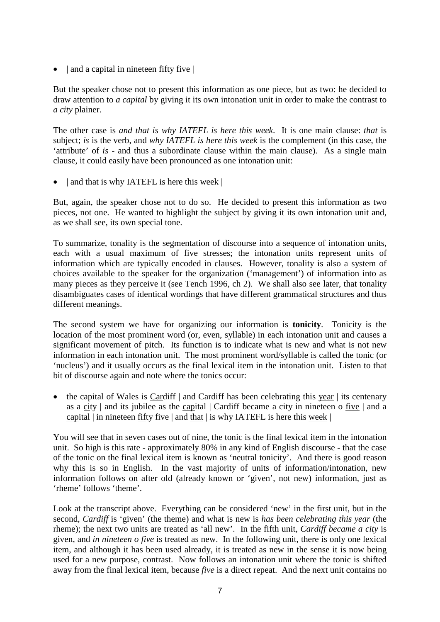• | and a capital in nineteen fifty five |

But the speaker chose not to present this information as one piece, but as two: he decided to draw attention to *a capital* by giving it its own intonation unit in order to make the contrast to *a city* plainer.

The other case is *and that is why IATEFL is here this week*. It is one main clause: *that* is subject; *is* is the verb, and *why IATEFL is here this week* is the complement (in this case, the 'attribute' of *is* - and thus a subordinate clause within the main clause). As a single main clause, it could easily have been pronounced as one intonation unit:

• and that is why IATEFL is here this week |

But, again, the speaker chose not to do so. He decided to present this information as two pieces, not one. He wanted to highlight the subject by giving it its own intonation unit and, as we shall see, its own special tone.

To summarize, tonality is the segmentation of discourse into a sequence of intonation units, each with a usual maximum of five stresses; the intonation units represent units of information which are typically encoded in clauses. However, tonality is also a system of choices available to the speaker for the organization ('management') of information into as many pieces as they perceive it (see Tench 1996, ch 2). We shall also see later, that tonality disambiguates cases of identical wordings that have different grammatical structures and thus different meanings.

The second system we have for organizing our information is **tonicity**. Tonicity is the location of the most prominent word (or, even, syllable) in each intonation unit and causes a significant movement of pitch. Its function is to indicate what is new and what is not new information in each intonation unit. The most prominent word/syllable is called the tonic (or 'nucleus') and it usually occurs as the final lexical item in the intonation unit. Listen to that bit of discourse again and note where the tonics occur:

• the capital of Wales is Cardiff | and Cardiff has been celebrating this year | its centenary as a city | and its jubilee as the capital | Cardiff became a city in nineteen o five | and a capital  $|$  in nineteen fifty five  $|$  and that  $|$  is why IATEFL is here this week  $|$ 

You will see that in seven cases out of nine, the tonic is the final lexical item in the intonation unit. So high is this rate - approximately 80% in any kind of English discourse - that the case of the tonic on the final lexical item is known as 'neutral tonicity'. And there is good reason why this is so in English. In the vast majority of units of information/intonation, new information follows on after old (already known or 'given', not new) information, just as 'rheme' follows 'theme'.

Look at the transcript above. Everything can be considered 'new' in the first unit, but in the second, *Cardiff* is 'given' (the theme) and what is new is *has been celebrating this year* (the rheme); the next two units are treated as 'all new'. In the fifth unit, *Cardiff became a city* is given, and *in nineteen o five* is treated as new. In the following unit, there is only one lexical item, and although it has been used already, it is treated as new in the sense it is now being used for a new purpose, contrast. Now follows an intonation unit where the tonic is shifted away from the final lexical item, because *five* is a direct repeat. And the next unit contains no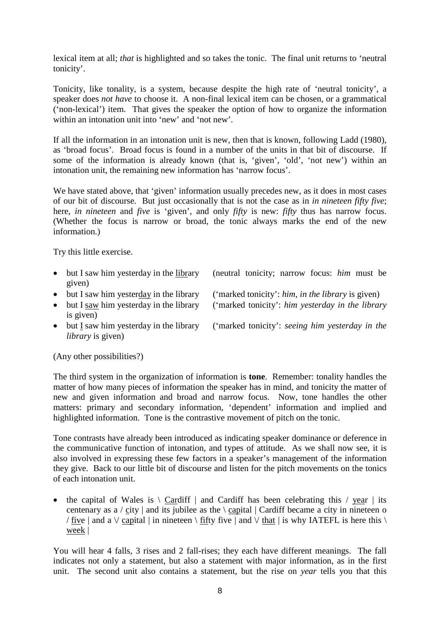lexical item at all; *that* is highlighted and so takes the tonic. The final unit returns to 'neutral tonicity'.

Tonicity, like tonality, is a system, because despite the high rate of 'neutral tonicity', a speaker does *not have* to choose it. A non-final lexical item can be chosen, or a grammatical ('non-lexical') item. That gives the speaker the option of how to organize the information within an intonation unit into 'new' and 'not new'.

If all the information in an intonation unit is new, then that is known, following Ladd (1980), as 'broad focus'. Broad focus is found in a number of the units in that bit of discourse. If some of the information is already known (that is, 'given', 'old', 'not new') within an intonation unit, the remaining new information has 'narrow focus'.

We have stated above, that 'given' information usually precedes new, as it does in most cases of our bit of discourse. But just occasionally that is not the case as in *in nineteen fifty five*; here, *in nineteen* and *five* is 'given', and only *fifty* is new: *fifty* thus has narrow focus. (Whether the focus is narrow or broad, the tonic always marks the end of the new information.)

Try this little exercise.

- but I saw him yesterday in the library (neutral tonicity; narrow focus: *him* must be given)
- but I saw him yesterday in the library ('marked tonicity': *him*, *in the library* is given)
- but I saw him yesterday in the library ('marked tonicity': *him yesterday in the library*
- is given)
- but I saw him yesterday in the library ('marked tonicity': *seeing him yesterday in the*

(Any other possibilities?)

*library* is given)

The third system in the organization of information is **tone**. Remember: tonality handles the matter of how many pieces of information the speaker has in mind, and tonicity the matter of new and given information and broad and narrow focus. Now, tone handles the other matters: primary and secondary information, 'dependent' information and implied and highlighted information. Tone is the contrastive movement of pitch on the tonic.

Tone contrasts have already been introduced as indicating speaker dominance or deference in the communicative function of intonation, and types of attitude. As we shall now see, it is also involved in expressing these few factors in a speaker's management of the information they give. Back to our little bit of discourse and listen for the pitch movements on the tonics of each intonation unit.

• the capital of Wales is  $\setminus$  Cardiff  $\vert$  and Cardiff has been celebrating this / year  $\vert$  its centenary as a / city | and its jubilee as the  $\langle$  capital | Cardiff became a city in nineteen o / five | and a  $\vee$  capital | in nineteen \ fifty five | and  $\vee$  that | is why IATEFL is here this \ week |

You will hear 4 falls, 3 rises and 2 fall-rises; they each have different meanings. The fall indicates not only a statement, but also a statement with major information, as in the first unit. The second unit also contains a statement, but the rise on *year* tells you that this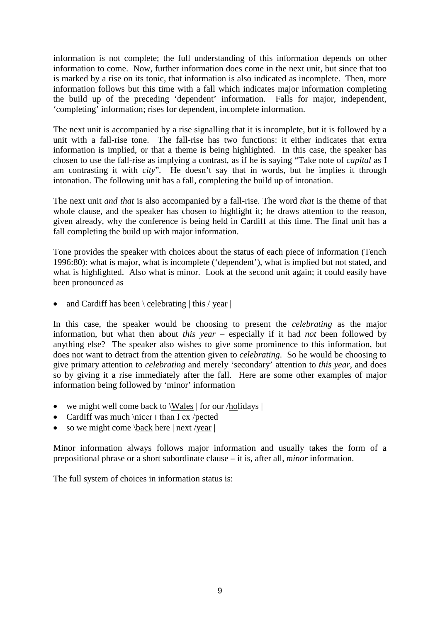information is not complete; the full understanding of this information depends on other information to come. Now, further information does come in the next unit, but since that too is marked by a rise on its tonic, that information is also indicated as incomplete. Then, more information follows but this time with a fall which indicates major information completing the build up of the preceding 'dependent' information. Falls for major, independent, 'completing' information; rises for dependent, incomplete information.

The next unit is accompanied by a rise signalling that it is incomplete, but it is followed by a unit with a fall-rise tone. The fall-rise has two functions: it either indicates that extra information is implied, or that a theme is being highlighted. In this case, the speaker has chosen to use the fall-rise as implying a contrast, as if he is saying "Take note of *capital* as I am contrasting it with *city*". He doesn't say that in words, but he implies it through intonation. The following unit has a fall, completing the build up of intonation.

The next unit *and that* is also accompanied by a fall-rise. The word *that* is the theme of that whole clause, and the speaker has chosen to highlight it; he draws attention to the reason, given already, why the conference is being held in Cardiff at this time. The final unit has a fall completing the build up with major information.

Tone provides the speaker with choices about the status of each piece of information (Tench 1996:80): what is major, what is incomplete ('dependent'), what is implied but not stated, and what is highlighted. Also what is minor. Look at the second unit again; it could easily have been pronounced as

and Cardiff has been  $\backslash$  celebrating  $\mid$  this / year  $\mid$ 

In this case, the speaker would be choosing to present the *celebrating* as the major information, but what then about *this year* – especially if it had *not* been followed by anything else? The speaker also wishes to give some prominence to this information, but does not want to detract from the attention given to *celebrating*. So he would be choosing to give primary attention to *celebrating* and merely 'secondary' attention to *this year*, and does so by giving it a rise immediately after the fall. Here are some other examples of major information being followed by 'minor' information

- we might well come back to \Wales | for our /holidays |
- Cardiff was much \nicer  $\parallel$  than I ex /pected
- so we might come  $\backslash$ back here | next /year |

Minor information always follows major information and usually takes the form of a prepositional phrase or a short subordinate clause – it is, after all, *minor* information.

The full system of choices in information status is: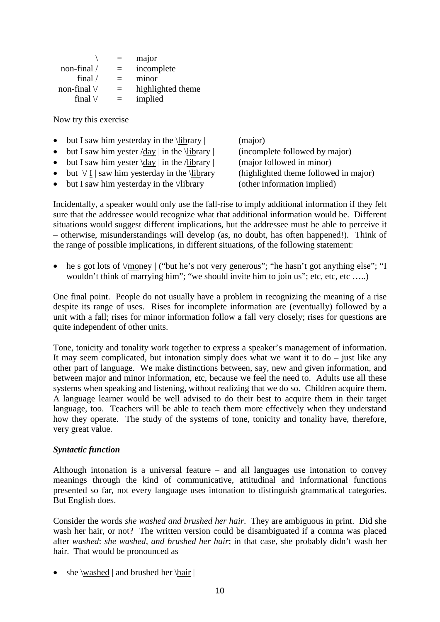|                  |     | major             |
|------------------|-----|-------------------|
| non-final $/$    | $=$ | incomplete        |
| final $\sqrt{}$  |     | minor             |
| non-final $\vee$ | $=$ | highlighted theme |
| final $\vee$     |     | implied           |

Now try this exercise

- but I saw him yesterday in the  $\lfloor \frac{\text{library}}{\text{major}} \rfloor$  (major)
- but I saw him yester  $\langle$  day | in the \library | (incomplete followed by major)
- but I saw him yester  $\day \mid$  in the /library  $\mid$  (major followed in minor)
- but  $\sqrt{I}$  | saw him yesterday in the  $\langle I \rangle$  library (highlighted theme followed in major)
- but I saw him vesterday in the  $\lor$ library (other information implied)

Incidentally, a speaker would only use the fall-rise to imply additional information if they felt sure that the addressee would recognize what that additional information would be. Different situations would suggest different implications, but the addressee must be able to perceive it – otherwise, misunderstandings will develop (as, no doubt, has often happened!). Think of the range of possible implications, in different situations, of the following statement:

he s got lots of  $\gamma$ money  $\gamma$  ("but he's not very generous"; "he hasn't got anything else"; "I wouldn't think of marrying him"; "we should invite him to join us"; etc, etc, etc .....)

One final point. People do not usually have a problem in recognizing the meaning of a rise despite its range of uses. Rises for incomplete information are (eventually) followed by a unit with a fall; rises for minor information follow a fall very closely; rises for questions are quite independent of other units.

Tone, tonicity and tonality work together to express a speaker's management of information. It may seem complicated, but intonation simply does what we want it to  $d\sigma$  – just like any other part of language. We make distinctions between, say, new and given information, and between major and minor information, etc, because we feel the need to. Adults use all these systems when speaking and listening, without realizing that we do so. Children acquire them. A language learner would be well advised to do their best to acquire them in their target language, too. Teachers will be able to teach them more effectively when they understand how they operate. The study of the systems of tone, tonicity and tonality have, therefore, very great value.

#### *Syntactic function*

Although intonation is a universal feature – and all languages use intonation to convey meanings through the kind of communicative, attitudinal and informational functions presented so far, not every language uses intonation to distinguish grammatical categories. But English does.

Consider the words *she washed and brushed her hair*. They are ambiguous in print. Did she wash her hair, or not? The written version could be disambiguated if a comma was placed after *washed*: *she washed, and brushed her hair*; in that case, she probably didn't wash her hair. That would be pronounced as

• she \washed | and brushed her \hair |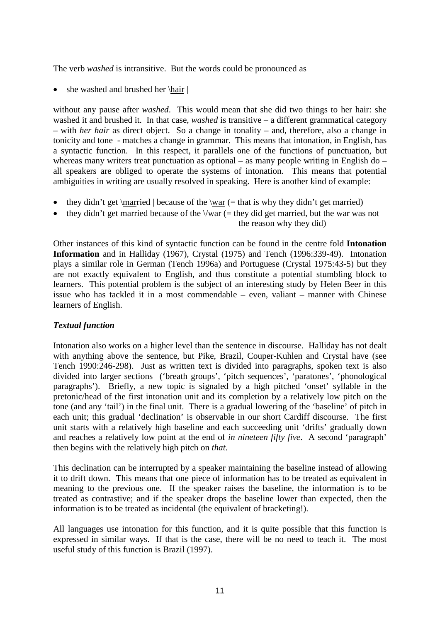The verb *washed* is intransitive. But the words could be pronounced as

• she washed and brushed her \hair |

without any pause after *washed*. This would mean that she did two things to her hair: she washed it and brushed it. In that case, *washed* is transitive – a different grammatical category – with *her hair* as direct object. So a change in tonality – and, therefore, also a change in tonicity and tone - matches a change in grammar. This means that intonation, in English, has a syntactic function. In this respect, it parallels one of the functions of punctuation, but whereas many writers treat punctuation as optional – as many people writing in English do – all speakers are obliged to operate the systems of intonation. This means that potential ambiguities in writing are usually resolved in speaking. Here is another kind of example:

- they didn't get  $\text{imarried}$  | because of the  $\text{var}$  (= that is why they didn't get married)
- they didn't get married because of the  $\sqrt{war}$  (= they did get married, but the war was not

the reason why they did)

Other instances of this kind of syntactic function can be found in the centre fold **Intonation Information** and in Halliday (1967), Crystal (1975) and Tench (1996:339-49). Intonation plays a similar role in German (Tench 1996a) and Portuguese (Crystal 1975:43-5) but they are not exactly equivalent to English, and thus constitute a potential stumbling block to learners. This potential problem is the subject of an interesting study by Helen Beer in this issue who has tackled it in a most commendable – even, valiant – manner with Chinese learners of English.

# *Textual function*

Intonation also works on a higher level than the sentence in discourse. Halliday has not dealt with anything above the sentence, but Pike, Brazil, Couper-Kuhlen and Crystal have (see Tench 1990:246-298). Just as written text is divided into paragraphs, spoken text is also divided into larger sections ('breath groups', 'pitch sequences', 'paratones', 'phonological paragraphs'). Briefly, a new topic is signaled by a high pitched 'onset' syllable in the pretonic/head of the first intonation unit and its completion by a relatively low pitch on the tone (and any 'tail') in the final unit. There is a gradual lowering of the 'baseline' of pitch in each unit; this gradual 'declination' is observable in our short Cardiff discourse. The first unit starts with a relatively high baseline and each succeeding unit 'drifts' gradually down and reaches a relatively low point at the end of *in nineteen fifty five*. A second 'paragraph' then begins with the relatively high pitch on *that*.

This declination can be interrupted by a speaker maintaining the baseline instead of allowing it to drift down. This means that one piece of information has to be treated as equivalent in meaning to the previous one. If the speaker raises the baseline, the information is to be treated as contrastive; and if the speaker drops the baseline lower than expected, then the information is to be treated as incidental (the equivalent of bracketing!).

All languages use intonation for this function, and it is quite possible that this function is expressed in similar ways. If that is the case, there will be no need to teach it. The most useful study of this function is Brazil (1997).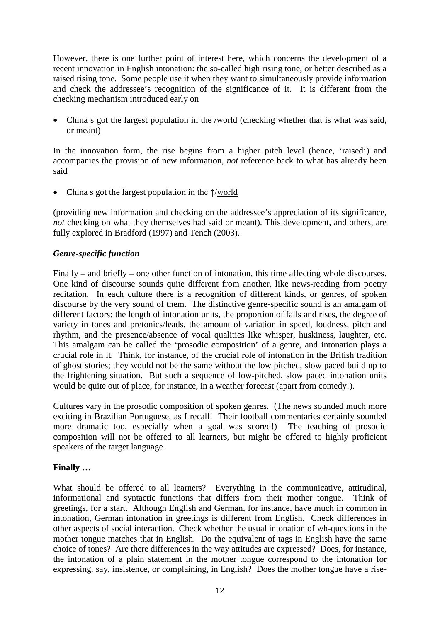However, there is one further point of interest here, which concerns the development of a recent innovation in English intonation: the so-called high rising tone, or better described as a raised rising tone. Some people use it when they want to simultaneously provide information and check the addressee's recognition of the significance of it. It is different from the checking mechanism introduced early on

• China s got the largest population in the /world (checking whether that is what was said, or meant)

In the innovation form, the rise begins from a higher pitch level (hence, 'raised') and accompanies the provision of new information, *not* reference back to what has already been said

China s got the largest population in the  $\uparrow$ /world

(providing new information and checking on the addressee's appreciation of its significance, *not* checking on what they themselves had said or meant). This development, and others, are fully explored in Bradford (1997) and Tench (2003).

# *Genre-specific function*

Finally – and briefly – one other function of intonation, this time affecting whole discourses. One kind of discourse sounds quite different from another, like news-reading from poetry recitation. In each culture there is a recognition of different kinds, or genres, of spoken discourse by the very sound of them. The distinctive genre-specific sound is an amalgam of different factors: the length of intonation units, the proportion of falls and rises, the degree of variety in tones and pretonics/leads, the amount of variation in speed, loudness, pitch and rhythm, and the presence/absence of vocal qualities like whisper, huskiness, laughter, etc. This amalgam can be called the 'prosodic composition' of a genre, and intonation plays a crucial role in it. Think, for instance, of the crucial role of intonation in the British tradition of ghost stories; they would not be the same without the low pitched, slow paced build up to the frightening situation. But such a sequence of low-pitched, slow paced intonation units would be quite out of place, for instance, in a weather forecast (apart from comedy!).

Cultures vary in the prosodic composition of spoken genres. (The news sounded much more exciting in Brazilian Portuguese, as I recall! Their football commentaries certainly sounded more dramatic too, especially when a goal was scored!) The teaching of prosodic composition will not be offered to all learners, but might be offered to highly proficient speakers of the target language.

# **Finally …**

What should be offered to all learners? Everything in the communicative, attitudinal, informational and syntactic functions that differs from their mother tongue. Think of greetings, for a start. Although English and German, for instance, have much in common in intonation, German intonation in greetings is different from English. Check differences in other aspects of social interaction. Check whether the usual intonation of wh-questions in the mother tongue matches that in English. Do the equivalent of tags in English have the same choice of tones? Are there differences in the way attitudes are expressed? Does, for instance, the intonation of a plain statement in the mother tongue correspond to the intonation for expressing, say, insistence, or complaining, in English? Does the mother tongue have a rise